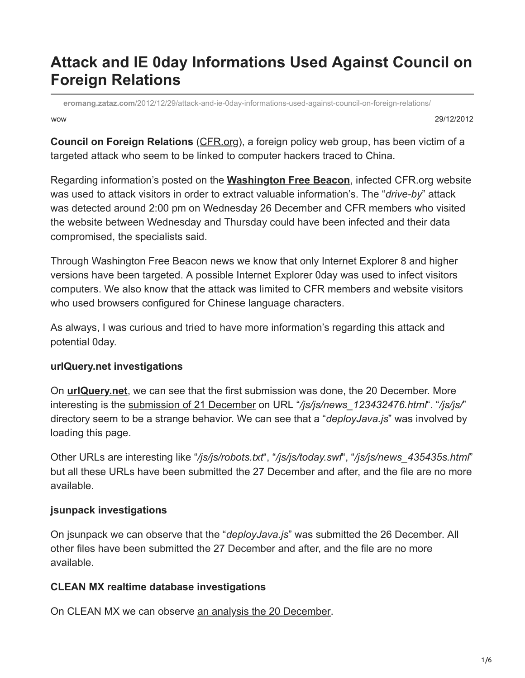# **Attack and IE 0day Informations Used Against Council on Foreign Relations**

wow 29/12/2012 **eromang.zataz.com**[/2012/12/29/attack-and-ie-0day-informations-used-against-council-on-foreign-relations/](https://eromang.zataz.com/2012/12/29/attack-and-ie-0day-informations-used-against-council-on-foreign-relations/)

**Council on Foreign Relations** ([CFR.org](http://www.cfr.org/)), a foreign policy web group, has been victim of a targeted attack who seem to be linked to computer hackers traced to China.

Regarding information's posted on the **[Washington Free Beacon](http://freebeacon.com/chinese-hackers-suspected-in-cyber-attack-on-council-on-foreign-relations/)**, infected CFR.org website was used to attack visitors in order to extract valuable information's. The "*drive-by*" attack was detected around 2:00 pm on Wednesday 26 December and CFR members who visited the website between Wednesday and Thursday could have been infected and their data compromised, the specialists said.

Through Washington Free Beacon news we know that only Internet Explorer 8 and higher versions have been targeted. A possible Internet Explorer 0day was used to infect visitors computers. We also know that the attack was limited to CFR members and website visitors who used browsers configured for Chinese language characters.

As always, I was curious and tried to have more information's regarding this attack and potential 0day.

# **urlQuery.net investigations**

On **[urlQuery.net](https://www.urlquery.net/search.php?q=cfr.org&type=string&start=2012-11-01&end=2012-12-28&max=200)**, we can see that the first submission was done, the 20 December. More interesting is the [submission of 21 December](https://www.urlquery.net/report.php?id=465113) on URL "*/js/js/news\_123432476.html*". "*/js/js/*" directory seem to be a strange behavior. We can see that a "*deployJava.js*" was involved by loading this page.

Other URLs are interesting like "*/js/js/robots.txt*", "*/js/js/today.swf*", "*/js/js/news\_435435s.html*" but all these URLs have been submitted the 27 December and after, and the file are no more available.

# **jsunpack investigations**

On jsunpack we can observe that the "*[deployJava.js](http://jsunpack.jeek.org/dec/go?report=fcf13971f648f6171ee669a2813a89749218d9be)*" was submitted the 26 December. All other files have been submitted the 27 December and after, and the file are no more available.

# **CLEAN MX realtime database investigations**

On CLEAN MX we can observe [an analysis the 20 December.](http://support.clean-mx.de/clean-mx/viruses.php?id=8724375)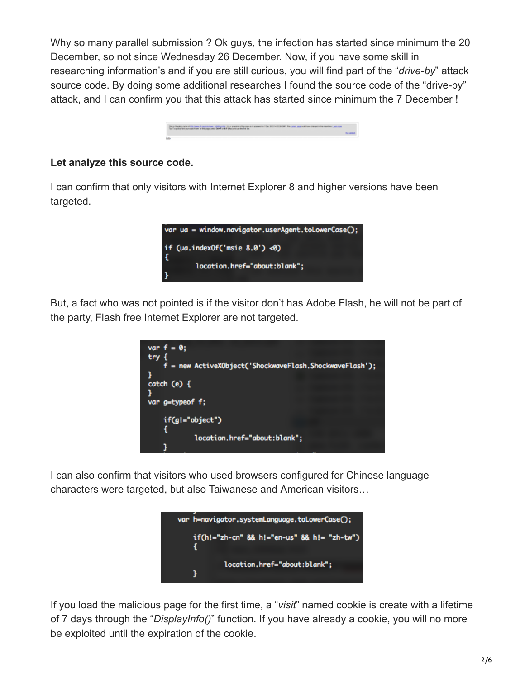Why so many parallel submission ? Ok guys, the infection has started since minimum the 20 December, so not since Wednesday 26 December. Now, if you have some skill in researching information's and if you are still curious, you will find part of the "*drive-by*" attack source code. By doing some additional researches I found the source code of the "drive-by" attack, and I can confirm you that this attack has started since minimum the 7 December !



#### **Let analyze this source code.**

I can confirm that only visitors with Internet Explorer 8 and higher versions have been targeted.



But, a fact who was not pointed is if the visitor don't has Adobe Flash, he will not be part of the party, Flash free Internet Explorer are not targeted.



I can also confirm that visitors who used browsers configured for Chinese language characters were targeted, but also Taiwanese and American visitors…



If you load the malicious page for the first time, a "*visit*" named cookie is create with a lifetime of 7 days through the "*DisplayInfo()*" function. If you have already a cookie, you will no more be exploited until the expiration of the cookie.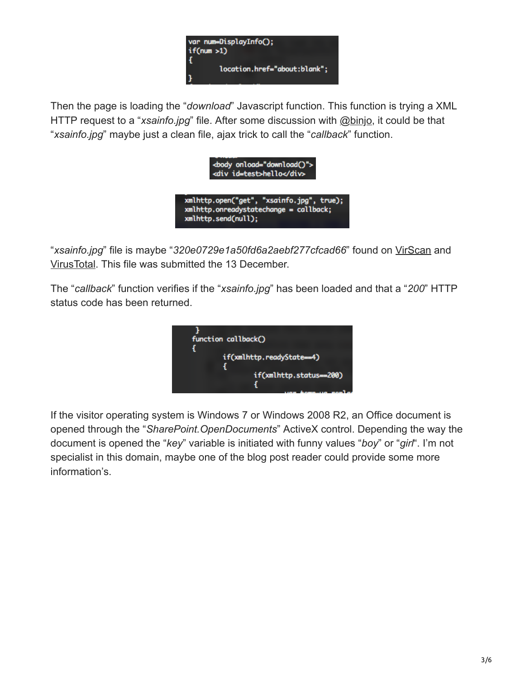

Then the page is loading the "*download*" Javascript function. This function is trying a XML HTTP request to a "*xsainfo.jpg*" file. After some discussion with [@binjo,](https://twitter.com/binjo) it could be that "*xsainfo.jpg*" maybe just a clean file, ajax trick to call the "*callback*" function.



"*xsainfo.jpg*" file is maybe "*320e0729e1a50fd6a2aebf277cfcad66*" found on [VirScan](http://r.virscan.org/7985b346f75a60148ace03b31f1a37fe) and [VirusTotal.](https://www.virustotal.com/file/e4b7b8dd6a4f9dc93b14205ef7d41647ce5c6b18a1194bd88d3205deb7bf26fa/analysis/) This file was submitted the 13 December.

The "*callback*" function verifies if the "*xsainfo.jpg*" has been loaded and that a "*200*" HTTP status code has been returned.



If the visitor operating system is Windows 7 or Windows 2008 R2, an Office document is opened through the "*SharePoint.OpenDocuments*" ActiveX control. Depending the way the document is opened the "*key*" variable is initiated with funny values "*boy*" or "*girl*". I'm not specialist in this domain, maybe one of the blog post reader could provide some more information's.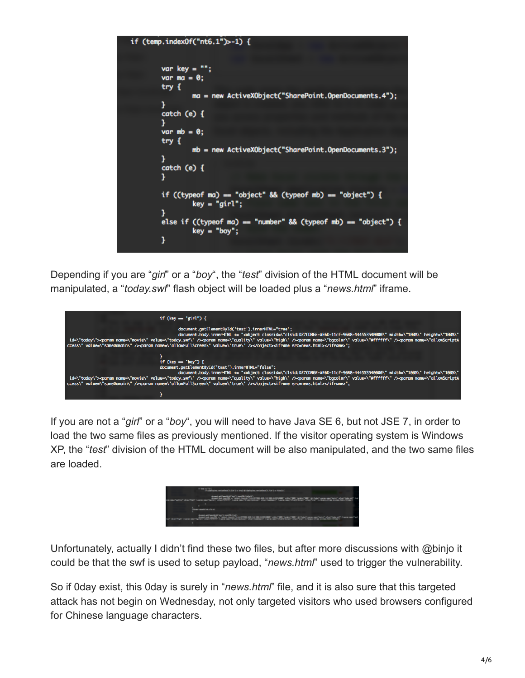```
if (temp.indexOf("nt6.1")>-1) {
var key = "";
var ma = 0;
try fma = new ActiveXObject("SharePoint.OpenDocuments.4");
ł
catch (e) {
1
var mb = 0;
try fmb = new ActiveXObject("SharePoint.OpenDocuments.3");
ł
catch (e) {
ι
if ((typeof ma) == "object" && (typeof mb) == "object") {
         key = "girl";else if ((typeof ma) == "number" && (typeof mb) == "object") {
         key = "boy":3
```
Depending if you are "*girl*" or a "*boy*", the "*test*" division of the HTML document will be manipulated, a "*today.swf*" flash object will be loaded plus a "*news.html*" iframe.



If you are not a "*girl*" or a "*boy*", you will need to have Java SE 6, but not JSE 7, in order to load the two same files as previously mentioned. If the visitor operating system is Windows XP, the "*test*" division of the HTML document will be also manipulated, and the two same files are loaded.



Unfortunately, actually I didn't find these two files, but after more discussions with [@binjo](https://twitter.com/binjo) it could be that the swf is used to setup payload, "*news.html*" used to trigger the vulnerability.

So if 0day exist, this 0day is surely in "*news.html*" file, and it is also sure that this targeted attack has not begin on Wednesday, not only targeted visitors who used browsers configured for Chinese language characters.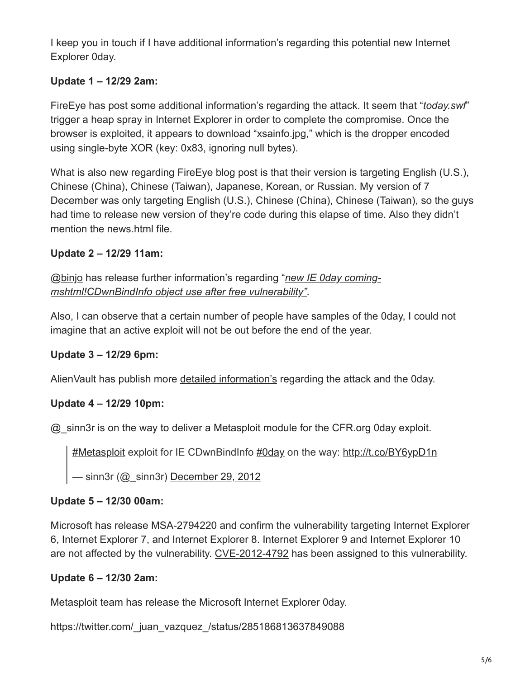I keep you in touch if I have additional information's regarding this potential new Internet Explorer 0day.

# **Update 1 – 12/29 2am:**

FireEye has post some [additional information's](https://www.fireeye.com/blog/) regarding the attack. It seem that "*today.swf*" trigger a heap spray in Internet Explorer in order to complete the compromise. Once the browser is exploited, it appears to download "xsainfo.jpg," which is the dropper encoded using single-byte XOR (key: 0x83, ignoring null bytes).

What is also new regarding FireEye blog post is that their version is targeting English (U.S.), Chinese (China), Chinese (Taiwan), Japanese, Korean, or Russian. My version of 7 December was only targeting English (U.S.), Chinese (China), Chinese (Taiwan), so the guys had time to release new version of they're code during this elapse of time. Also they didn't mention the news.html file.

# **Update 2 – 12/29 11am:**

[@binjo](https://twitter.com/binjo) has release further information's regarding "*new IE 0day coming[mshtml!CDwnBindInfo object use after free vulnerability"](http://blog.vulnhunt.com/index.php/2012/12/29/new-ie-0day-coming-mshtmlcdwnbindinfo-object-use-afte)*.

Also, I can observe that a certain number of people have samples of the 0day, I could not imagine that an active exploit will not be out before the end of the year.

# **Update 3 – 12/29 6pm:**

AlienVault has publish more [detailed information's](http://labs.alienvault.com/labs/index.php/2012/just-another-water-hole-campaign-using-an-internet-explorer-0day/) regarding the attack and the 0day.

# **Update 4 – 12/29 10pm:**

@\_sinn3r is on the way to deliver a Metasploit module for the CFR.org 0day exploit.

[#Metasploit](https://twitter.com/hashtag/Metasploit?src=hash) exploit for IE CDwnBindInfo [#0day](https://twitter.com/hashtag/0day?src=hash) on the way: [http://t.co/BY6ypD1n](https://t.co/BY6ypD1n)

 $-$  sinn3r ( $@$  sinn3r) [December 29, 2012](https://twitter.com/_sinn3r/status/285125607950520320)

# **Update 5 – 12/30 00am:**

Microsoft has release MSA-2794220 and confirm the vulnerability targeting Internet Explorer 6, Internet Explorer 7, and Internet Explorer 8. Internet Explorer 9 and Internet Explorer 10 are not affected by the vulnerability. [CVE-2012-4792](https://www.cve.mitre.org/cgi-bin/cvename.cgi?name=CVE-2012-4792) has been assigned to this vulnerability.

# **Update 6 – 12/30 2am:**

Metasploit team has release the Microsoft Internet Explorer 0day.

https://twitter.com/\_juan\_vazquez\_/status/285186813637849088